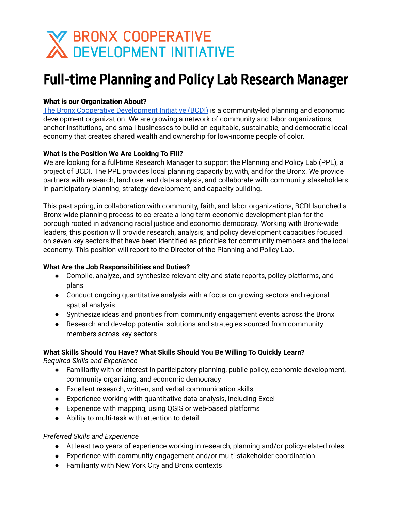# **X BRONX COOPERATIVE<br>A DEVELOPMENT INITIATIVE**

# Full-time Planning and Policy Lab Research Manager

# What is our Organization About?

The Bronx Cooperative [Development](http://bcdi.nyc) Initiative (BCDI) is a community-led planning and economic development organization. We are growing a network of community and labor organizations, anchor institutions, and small businesses to build an equitable, sustainable, and democratic local economy that creates shared wealth and ownership for low-income people of color.

# **What Is the Position We Are Looking To Fill?**

We are looking for a full-time Research Manager to support the Planning and Policy Lab (PPL), a project of BCDI. The PPL provides local planning capacity by, with, and for the Bronx. We provide partners with research, land use, and data analysis, and collaborate with community stakeholders in participatory planning, strategy development, and capacity building.

This past spring, in collaboration with community, faith, and labor organizations, BCDI launched a Bronx-wide planning process to co-create a long-term economic development plan for the borough rooted in advancing racial justice and economic democracy. Working with Bronx-wide leaders, this position will provide research, analysis, and policy development capacities focused on seven key sectors that have been identified as priorities for community members and the local economy. This position will report to the Director of the Planning and Policy Lab.

# **What Are the Job Responsibilities and Duties?**

- Compile, analyze, and synthesize relevant city and state reports, policy platforms, and plans
- Conduct ongoing quantitative analysis with a focus on growing sectors and regional spatial analysis
- Synthesize ideas and priorities from community engagement events across the Bronx
- Research and develop potential solutions and strategies sourced from community members across key sectors

# **What Skills Should You Have? What Skills Should You Be Willing To Quickly Learn?**

*Required Skills and Experience*

- Familiarity with or interest in participatory planning, public policy, economic development, community organizing, and economic democracy
- Excellent research, written, and verbal communication skills
- Experience working with quantitative data analysis, including Excel
- Experience with mapping, using QGIS or web-based platforms
- Ability to multi-task with attention to detail

# *Preferred Skills and Experience*

- At least two years of experience working in research, planning and/or policy-related roles
- Experience with community engagement and/or multi-stakeholder coordination
- Familiarity with New York City and Bronx contexts